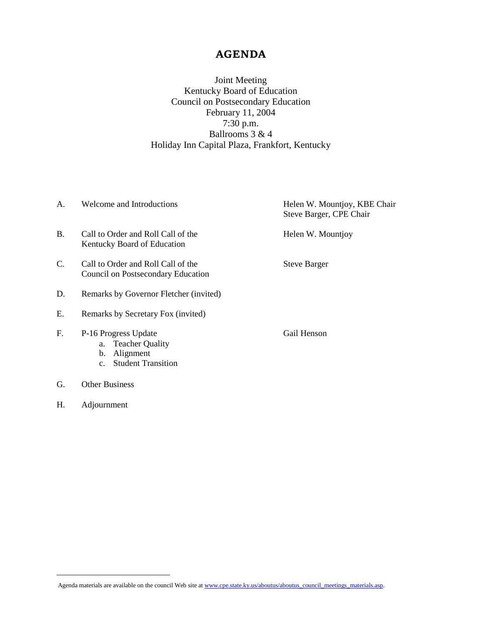## **AGENDA**

Joint Meeting Kentucky Board of Education Council on Postsecondary Education February 11, 2004 7:30 p.m. Ballrooms 3 & 4 Holiday Inn Capital Plaza, Frankfort, Kentucky

| A.          | Welcome and Introductions                                                                                    | Helen W. Mountjoy, KBE Chair<br>Steve Barger, CPE Chair |
|-------------|--------------------------------------------------------------------------------------------------------------|---------------------------------------------------------|
| <b>B.</b>   | Call to Order and Roll Call of the<br>Kentucky Board of Education                                            | Helen W. Mountjoy                                       |
| C.          | Call to Order and Roll Call of the<br>Council on Postsecondary Education                                     | <b>Steve Barger</b>                                     |
| D.          | Remarks by Governor Fletcher (invited)                                                                       |                                                         |
| Е.          | Remarks by Secretary Fox (invited)                                                                           |                                                         |
| $F_{\cdot}$ | P-16 Progress Update<br>a. Teacher Quality<br>Alignment<br>b.<br><b>Student Transition</b><br>$\mathbf{c}$ . | Gail Henson                                             |
| G.          | <b>Other Business</b>                                                                                        |                                                         |

H. Adjournment

 $\overline{a}$ 

Agenda materials are available on the council Web site at [www.cpe.state.ky.us/aboutus/aboutus\\_council\\_meetings\\_materials.asp.](http://www.cpe.state.ky.us/aboutus/aboutus_council_meetings_materials.asp)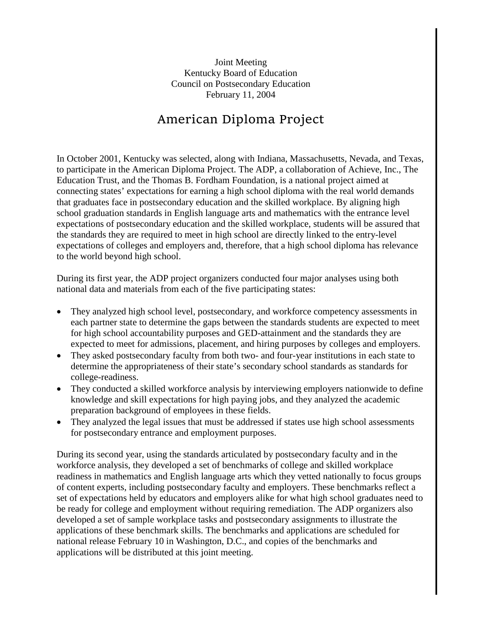Joint Meeting Kentucky Board of Education Council on Postsecondary Education February 11, 2004

# American Diploma Project

In October 2001, Kentucky was selected, along with Indiana, Massachusetts, Nevada, and Texas, to participate in the American Diploma Project. The ADP, a collaboration of Achieve, Inc., The Education Trust, and the Thomas B. Fordham Foundation, is a national project aimed at connecting states' expectations for earning a high school diploma with the real world demands that graduates face in postsecondary education and the skilled workplace. By aligning high school graduation standards in English language arts and mathematics with the entrance level expectations of postsecondary education and the skilled workplace, students will be assured that the standards they are required to meet in high school are directly linked to the entry-level expectations of colleges and employers and, therefore, that a high school diploma has relevance to the world beyond high school.

During its first year, the ADP project organizers conducted four major analyses using both national data and materials from each of the five participating states:

- They analyzed high school level, postsecondary, and workforce competency assessments in each partner state to determine the gaps between the standards students are expected to meet for high school accountability purposes and GED-attainment and the standards they are expected to meet for admissions, placement, and hiring purposes by colleges and employers.
- They asked postsecondary faculty from both two- and four-year institutions in each state to determine the appropriateness of their state's secondary school standards as standards for college-readiness.
- They conducted a skilled workforce analysis by interviewing employers nationwide to define knowledge and skill expectations for high paying jobs, and they analyzed the academic preparation background of employees in these fields.
- They analyzed the legal issues that must be addressed if states use high school assessments for postsecondary entrance and employment purposes.

During its second year, using the standards articulated by postsecondary faculty and in the workforce analysis, they developed a set of benchmarks of college and skilled workplace readiness in mathematics and English language arts which they vetted nationally to focus groups of content experts, including postsecondary faculty and employers. These benchmarks reflect a set of expectations held by educators and employers alike for what high school graduates need to be ready for college and employment without requiring remediation. The ADP organizers also developed a set of sample workplace tasks and postsecondary assignments to illustrate the applications of these benchmark skills. The benchmarks and applications are scheduled for national release February 10 in Washington, D.C., and copies of the benchmarks and applications will be distributed at this joint meeting.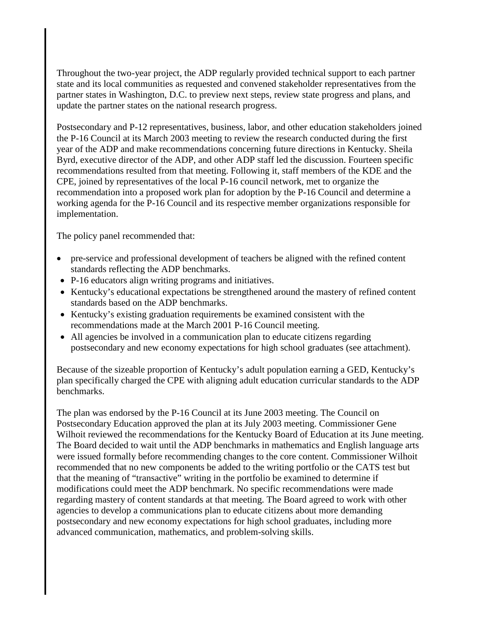Throughout the two-year project, the ADP regularly provided technical support to each partner state and its local communities as requested and convened stakeholder representatives from the partner states in Washington, D.C. to preview next steps, review state progress and plans, and update the partner states on the national research progress.

Postsecondary and P-12 representatives, business, labor, and other education stakeholders joined the P-16 Council at its March 2003 meeting to review the research conducted during the first year of the ADP and make recommendations concerning future directions in Kentucky. Sheila Byrd, executive director of the ADP, and other ADP staff led the discussion. Fourteen specific recommendations resulted from that meeting. Following it, staff members of the KDE and the CPE, joined by representatives of the local P-16 council network, met to organize the recommendation into a proposed work plan for adoption by the P-16 Council and determine a working agenda for the P-16 Council and its respective member organizations responsible for implementation.

The policy panel recommended that:

- pre-service and professional development of teachers be aligned with the refined content standards reflecting the ADP benchmarks.
- P-16 educators align writing programs and initiatives.
- Kentucky's educational expectations be strengthened around the mastery of refined content standards based on the ADP benchmarks.
- Kentucky's existing graduation requirements be examined consistent with the recommendations made at the March 2001 P-16 Council meeting.
- All agencies be involved in a communication plan to educate citizens regarding postsecondary and new economy expectations for high school graduates (see attachment).

Because of the sizeable proportion of Kentucky's adult population earning a GED, Kentucky's plan specifically charged the CPE with aligning adult education curricular standards to the ADP benchmarks.

The plan was endorsed by the P-16 Council at its June 2003 meeting. The Council on Postsecondary Education approved the plan at its July 2003 meeting. Commissioner Gene Wilhoit reviewed the recommendations for the Kentucky Board of Education at its June meeting. The Board decided to wait until the ADP benchmarks in mathematics and English language arts were issued formally before recommending changes to the core content. Commissioner Wilhoit recommended that no new components be added to the writing portfolio or the CATS test but that the meaning of "transactive" writing in the portfolio be examined to determine if modifications could meet the ADP benchmark. No specific recommendations were made regarding mastery of content standards at that meeting. The Board agreed to work with other agencies to develop a communications plan to educate citizens about more demanding postsecondary and new economy expectations for high school graduates, including more advanced communication, mathematics, and problem-solving skills.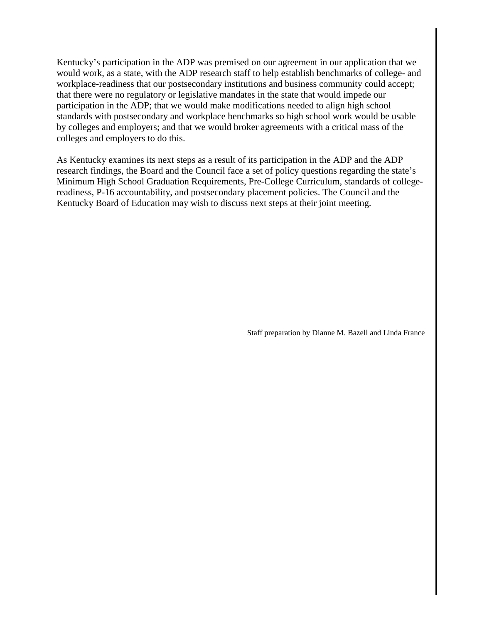Kentucky's participation in the ADP was premised on our agreement in our application that we would work, as a state, with the ADP research staff to help establish benchmarks of college- and workplace-readiness that our postsecondary institutions and business community could accept; that there were no regulatory or legislative mandates in the state that would impede our participation in the ADP; that we would make modifications needed to align high school standards with postsecondary and workplace benchmarks so high school work would be usable by colleges and employers; and that we would broker agreements with a critical mass of the colleges and employers to do this.

As Kentucky examines its next steps as a result of its participation in the ADP and the ADP research findings, the Board and the Council face a set of policy questions regarding the state's Minimum High School Graduation Requirements, Pre-College Curriculum, standards of collegereadiness, P-16 accountability, and postsecondary placement policies. The Council and the Kentucky Board of Education may wish to discuss next steps at their joint meeting.

Staff preparation by Dianne M. Bazell and Linda France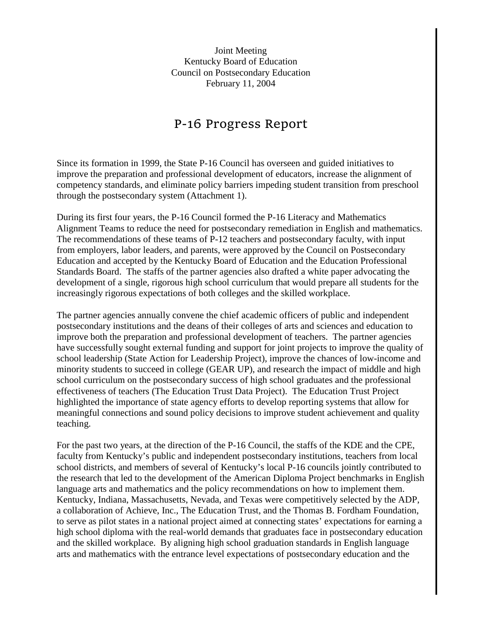Joint Meeting Kentucky Board of Education Council on Postsecondary Education February 11, 2004

## P-16 Progress Report

Since its formation in 1999, the State P-16 Council has overseen and guided initiatives to improve the preparation and professional development of educators, increase the alignment of competency standards, and eliminate policy barriers impeding student transition from preschool through the postsecondary system (Attachment 1).

During its first four years, the P-16 Council formed the P-16 Literacy and Mathematics Alignment Teams to reduce the need for postsecondary remediation in English and mathematics. The recommendations of these teams of P-12 teachers and postsecondary faculty, with input from employers, labor leaders, and parents, were approved by the Council on Postsecondary Education and accepted by the Kentucky Board of Education and the Education Professional Standards Board. The staffs of the partner agencies also drafted a white paper advocating the development of a single, rigorous high school curriculum that would prepare all students for the increasingly rigorous expectations of both colleges and the skilled workplace.

The partner agencies annually convene the chief academic officers of public and independent postsecondary institutions and the deans of their colleges of arts and sciences and education to improve both the preparation and professional development of teachers. The partner agencies have successfully sought external funding and support for joint projects to improve the quality of school leadership (State Action for Leadership Project), improve the chances of low-income and minority students to succeed in college (GEAR UP), and research the impact of middle and high school curriculum on the postsecondary success of high school graduates and the professional effectiveness of teachers (The Education Trust Data Project). The Education Trust Project highlighted the importance of state agency efforts to develop reporting systems that allow for meaningful connections and sound policy decisions to improve student achievement and quality teaching.

For the past two years, at the direction of the P-16 Council, the staffs of the KDE and the CPE, faculty from Kentucky's public and independent postsecondary institutions, teachers from local school districts, and members of several of Kentucky's local P-16 councils jointly contributed to the research that led to the development of the American Diploma Project benchmarks in English language arts and mathematics and the policy recommendations on how to implement them. Kentucky, Indiana, Massachusetts, Nevada, and Texas were competitively selected by the ADP, a collaboration of Achieve, Inc., The Education Trust, and the Thomas B. Fordham Foundation, to serve as pilot states in a national project aimed at connecting states' expectations for earning a high school diploma with the real-world demands that graduates face in postsecondary education and the skilled workplace. By aligning high school graduation standards in English language arts and mathematics with the entrance level expectations of postsecondary education and the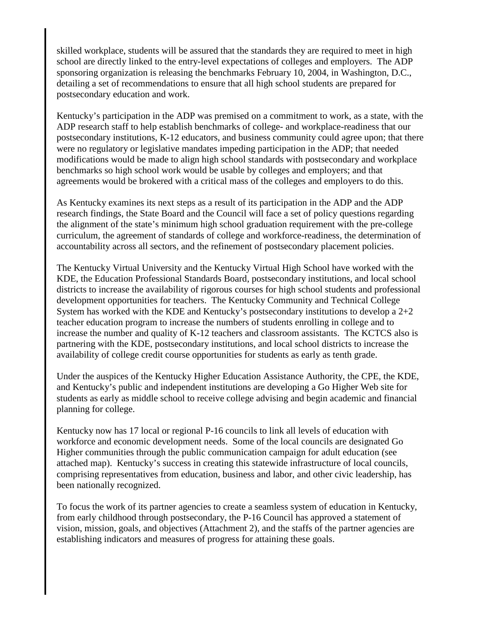skilled workplace, students will be assured that the standards they are required to meet in high school are directly linked to the entry-level expectations of colleges and employers. The ADP sponsoring organization is releasing the benchmarks February 10, 2004, in Washington, D.C., detailing a set of recommendations to ensure that all high school students are prepared for postsecondary education and work.

Kentucky's participation in the ADP was premised on a commitment to work, as a state, with the ADP research staff to help establish benchmarks of college- and workplace-readiness that our postsecondary institutions, K-12 educators, and business community could agree upon; that there were no regulatory or legislative mandates impeding participation in the ADP; that needed modifications would be made to align high school standards with postsecondary and workplace benchmarks so high school work would be usable by colleges and employers; and that agreements would be brokered with a critical mass of the colleges and employers to do this.

As Kentucky examines its next steps as a result of its participation in the ADP and the ADP research findings, the State Board and the Council will face a set of policy questions regarding the alignment of the state's minimum high school graduation requirement with the pre-college curriculum, the agreement of standards of college and workforce-readiness, the determination of accountability across all sectors, and the refinement of postsecondary placement policies.

The Kentucky Virtual University and the Kentucky Virtual High School have worked with the KDE, the Education Professional Standards Board, postsecondary institutions, and local school districts to increase the availability of rigorous courses for high school students and professional development opportunities for teachers. The Kentucky Community and Technical College System has worked with the KDE and Kentucky's postsecondary institutions to develop a 2+2 teacher education program to increase the numbers of students enrolling in college and to increase the number and quality of K-12 teachers and classroom assistants. The KCTCS also is partnering with the KDE, postsecondary institutions, and local school districts to increase the availability of college credit course opportunities for students as early as tenth grade.

Under the auspices of the Kentucky Higher Education Assistance Authority, the CPE, the KDE, and Kentucky's public and independent institutions are developing a Go Higher Web site for students as early as middle school to receive college advising and begin academic and financial planning for college.

Kentucky now has 17 local or regional P-16 councils to link all levels of education with workforce and economic development needs. Some of the local councils are designated Go Higher communities through the public communication campaign for adult education (see attached map). Kentucky's success in creating this statewide infrastructure of local councils, comprising representatives from education, business and labor, and other civic leadership, has been nationally recognized.

To focus the work of its partner agencies to create a seamless system of education in Kentucky, from early childhood through postsecondary, the P-16 Council has approved a statement of vision, mission, goals, and objectives (Attachment 2), and the staffs of the partner agencies are establishing indicators and measures of progress for attaining these goals.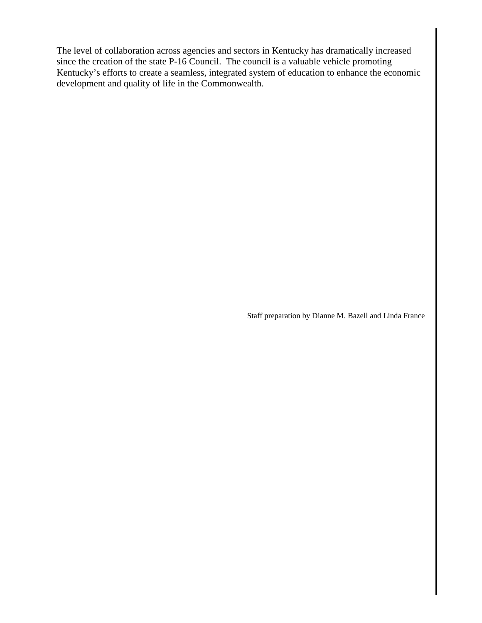The level of collaboration across agencies and sectors in Kentucky has dramatically increased since the creation of the state P-16 Council. The council is a valuable vehicle promoting Kentucky's efforts to create a seamless, integrated system of education to enhance the economic development and quality of life in the Commonwealth.

Staff preparation by Dianne M. Bazell and Linda France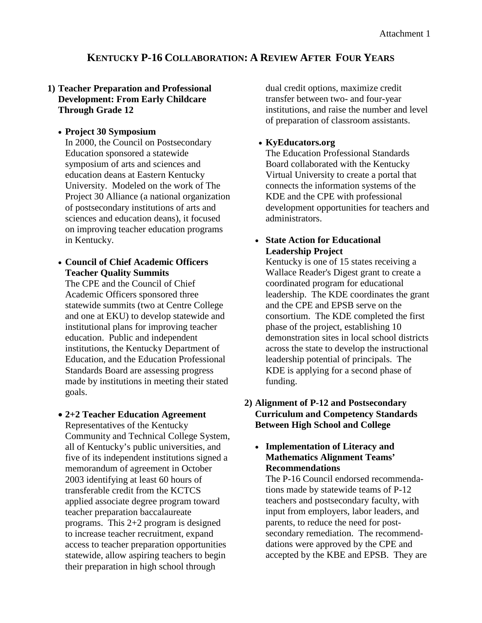## **KENTUCKY P-16 COLLABORATION: A REVIEW AFTER FOUR YEARS**

## **1) Teacher Preparation and Professional Development: From Early Childcare Through Grade 12**

#### • **Project 30 Symposium**

In 2000, the Council on Postsecondary Education sponsored a statewide symposium of arts and sciences and education deans at Eastern Kentucky University. Modeled on the work of The Project 30 Alliance (a national organization of postsecondary institutions of arts and sciences and education deans), it focused on improving teacher education programs in Kentucky.

## • **Council of Chief Academic Officers Teacher Quality Summits**

The CPE and the Council of Chief Academic Officers sponsored three statewide summits (two at Centre College and one at EKU) to develop statewide and institutional plans for improving teacher education. Public and independent institutions, the Kentucky Department of Education, and the Education Professional Standards Board are assessing progress made by institutions in meeting their stated goals.

## • **2+2 Teacher Education Agreement** Representatives of the Kentucky Community and Technical College System, all of Kentucky's public universities, and five of its independent institutions signed a memorandum of agreement in October 2003 identifying at least 60 hours of transferable credit from the KCTCS applied associate degree program toward teacher preparation baccalaureate programs. This 2+2 program is designed to increase teacher recruitment, expand access to teacher preparation opportunities statewide, allow aspiring teachers to begin their preparation in high school through

dual credit options, maximize credit transfer between two- and four-year institutions, and raise the number and level of preparation of classroom assistants.

## • **KyEducators.org**

The Education Professional Standards Board collaborated with the Kentucky Virtual University to create a portal that connects the information systems of the KDE and the CPE with professional development opportunities for teachers and administrators.

## • **State Action for Educational Leadership Project**

Kentucky is one of 15 states receiving a Wallace Reader's Digest grant to create a coordinated program for educational leadership. The KDE coordinates the grant and the CPE and EPSB serve on the consortium. The KDE completed the first phase of the project, establishing 10 demonstration sites in local school districts across the state to develop the instructional leadership potential of principals. The KDE is applying for a second phase of funding.

## **2) Alignment of P-12 and Postsecondary Curriculum and Competency Standards Between High School and College**

## • **Implementation of Literacy and Mathematics Alignment Teams' Recommendations**

The P-16 Council endorsed recommendations made by statewide teams of P-12 teachers and postsecondary faculty, with input from employers, labor leaders, and parents, to reduce the need for postsecondary remediation. The recommenddations were approved by the CPE and accepted by the KBE and EPSB. They are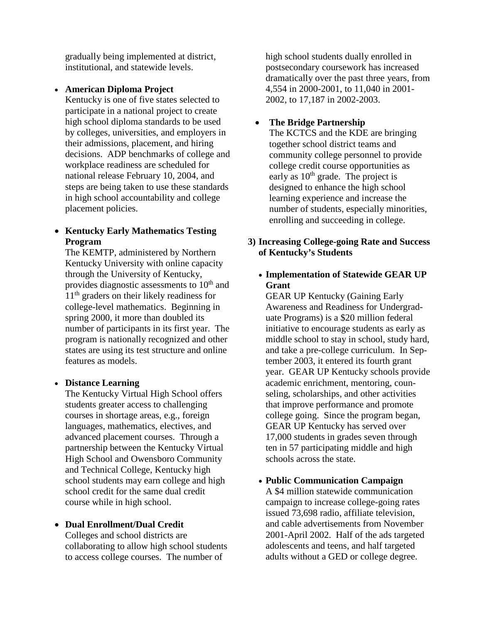gradually being implemented at district, institutional, and statewide levels.

• **American Diploma Project**

Kentucky is one of five states selected to participate in a national project to create high school diploma standards to be used by colleges, universities, and employers in their admissions, placement, and hiring decisions. ADP benchmarks of college and workplace readiness are scheduled for national release February 10, 2004, and steps are being taken to use these standards in high school accountability and college placement policies.

## • **Kentucky Early Mathematics Testing Program**

The KEMTP, administered by Northern Kentucky University with online capacity through the University of Kentucky, provides diagnostic assessments to 10<sup>th</sup> and 11<sup>th</sup> graders on their likely readiness for college-level mathematics. Beginning in spring 2000, it more than doubled its number of participants in its first year. The program is nationally recognized and other states are using its test structure and online features as models.

## • **Distance Learning**

The Kentucky Virtual High School offers students greater access to challenging courses in shortage areas, e.g., foreign languages, mathematics, electives, and advanced placement courses. Through a partnership between the Kentucky Virtual High School and Owensboro Community and Technical College, Kentucky high school students may earn college and high school credit for the same dual credit course while in high school.

## • **Dual Enrollment/Dual Credit**

Colleges and school districts are collaborating to allow high school students to access college courses. The number of

high school students dually enrolled in postsecondary coursework has increased dramatically over the past three years, from 4,554 in 2000-2001, to 11,040 in 2001- 2002, to 17,187 in 2002-2003.

## • **The Bridge Partnership**

The KCTCS and the KDE are bringing together school district teams and community college personnel to provide college credit course opportunities as early as  $10<sup>th</sup>$  grade. The project is designed to enhance the high school learning experience and increase the number of students, especially minorities, enrolling and succeeding in college.

## **3) Increasing College-going Rate and Success of Kentucky's Students**

## • **Implementation of Statewide GEAR UP Grant**

GEAR UP Kentucky (Gaining Early Awareness and Readiness for Undergraduate Programs) is a \$20 million federal initiative to encourage students as early as middle school to stay in school, study hard, and take a pre-college curriculum. In September 2003, it entered its fourth grant year. GEAR UP Kentucky schools provide academic enrichment, mentoring, counseling, scholarships, and other activities that improve performance and promote college going. Since the program began, GEAR UP Kentucky has served over 17,000 students in grades seven through ten in 57 participating middle and high schools across the state.

## • **Public Communication Campaign**

A \$4 million statewide communication campaign to increase college-going rates issued 73,698 radio, affiliate television, and cable advertisements from November 2001-April 2002. Half of the ads targeted adolescents and teens, and half targeted adults without a GED or college degree.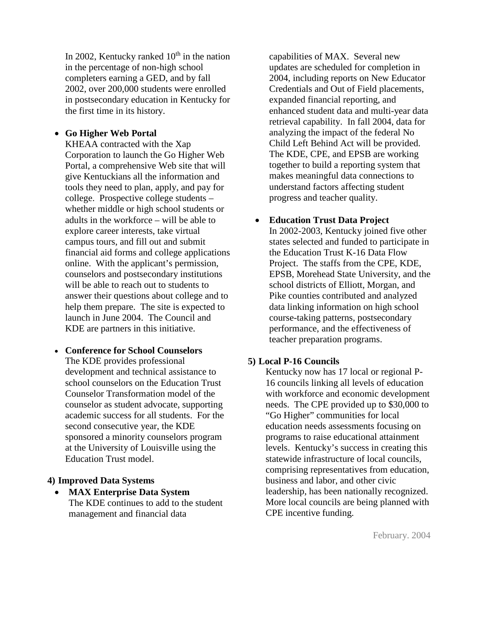In 2002, Kentucky ranked  $10<sup>th</sup>$  in the nation in the percentage of non-high school completers earning a GED, and by fall 2002, over 200,000 students were enrolled in postsecondary education in Kentucky for the first time in its history.

#### • **Go Higher Web Portal**

KHEAA contracted with the Xap Corporation to launch the Go Higher Web Portal, a comprehensive Web site that will give Kentuckians all the information and tools they need to plan, apply, and pay for college. Prospective college students – whether middle or high school students or adults in the workforce – will be able to explore career interests, take virtual campus tours, and fill out and submit financial aid forms and college applications online. With the applicant's permission, counselors and postsecondary institutions will be able to reach out to students to answer their questions about college and to help them prepare. The site is expected to launch in June 2004. The Council and KDE are partners in this initiative.

• **Conference for School Counselors** The KDE provides professional development and technical assistance to school counselors on the Education Trust Counselor Transformation model of the counselor as student advocate, supporting academic success for all students. For the second consecutive year, the KDE sponsored a minority counselors program at the University of Louisville using the Education Trust model.

#### **4) Improved Data Systems**

• **MAX Enterprise Data System** The KDE continues to add to the student management and financial data

capabilities of MAX. Several new updates are scheduled for completion in 2004, including reports on New Educator Credentials and Out of Field placements, expanded financial reporting, and enhanced student data and multi-year data retrieval capability. In fall 2004, data for analyzing the impact of the federal No Child Left Behind Act will be provided. The KDE, CPE, and EPSB are working together to build a reporting system that makes meaningful data connections to understand factors affecting student progress and teacher quality.

#### • **Education Trust Data Project**

In 2002-2003, Kentucky joined five other states selected and funded to participate in the Education Trust K-16 Data Flow Project. The staffs from the CPE, KDE, EPSB, Morehead State University, and the school districts of Elliott, Morgan, and Pike counties contributed and analyzed data linking information on high school course-taking patterns, postsecondary performance, and the effectiveness of teacher preparation programs.

#### **5) Local P-16 Councils**

Kentucky now has 17 local or regional P-16 councils linking all levels of education with workforce and economic development needs. The CPE provided up to \$30,000 to "Go Higher" communities for local education needs assessments focusing on programs to raise educational attainment levels. Kentucky's success in creating this statewide infrastructure of local councils, comprising representatives from education, business and labor, and other civic leadership, has been nationally recognized. More local councils are being planned with CPE incentive funding.

February. 2004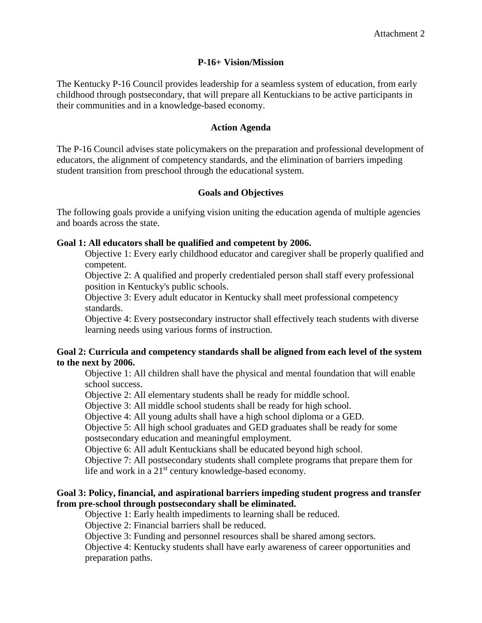#### **P-16+ Vision/Mission**

The Kentucky P-16 Council provides leadership for a seamless system of education, from early childhood through postsecondary, that will prepare all Kentuckians to be active participants in their communities and in a knowledge-based economy.

#### **Action Agenda**

The P-16 Council advises state policymakers on the preparation and professional development of educators, the alignment of competency standards, and the elimination of barriers impeding student transition from preschool through the educational system.

## **Goals and Objectives**

The following goals provide a unifying vision uniting the education agenda of multiple agencies and boards across the state.

#### **Goal 1: All educators shall be qualified and competent by 2006.**

Objective 1: Every early childhood educator and caregiver shall be properly qualified and competent.

Objective 2: A qualified and properly credentialed person shall staff every professional position in Kentucky's public schools.

Objective 3: Every adult educator in Kentucky shall meet professional competency standards.

Objective 4: Every postsecondary instructor shall effectively teach students with diverse learning needs using various forms of instruction.

#### **Goal 2: Curricula and competency standards shall be aligned from each level of the system to the next by 2006.**

Objective 1: All children shall have the physical and mental foundation that will enable school success.

Objective 2: All elementary students shall be ready for middle school.

Objective 3: All middle school students shall be ready for high school.

Objective 4: All young adults shall have a high school diploma or a GED.

Objective 5: All high school graduates and GED graduates shall be ready for some postsecondary education and meaningful employment.

Objective 6: All adult Kentuckians shall be educated beyond high school.

Objective 7: All postsecondary students shall complete programs that prepare them for life and work in a 21<sup>st</sup> century knowledge-based economy.

## **Goal 3: Policy, financial, and aspirational barriers impeding student progress and transfer from pre-school through postsecondary shall be eliminated.**

Objective 1: Early health impediments to learning shall be reduced.

Objective 2: Financial barriers shall be reduced.

Objective 3: Funding and personnel resources shall be shared among sectors.

Objective 4: Kentucky students shall have early awareness of career opportunities and preparation paths.